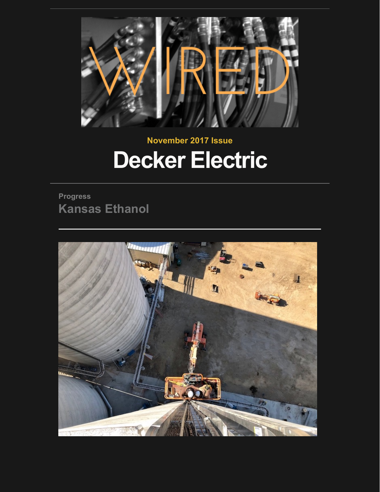

# **November 2017 Issue Decker Electric**

**Progress Kansas Ethanol**

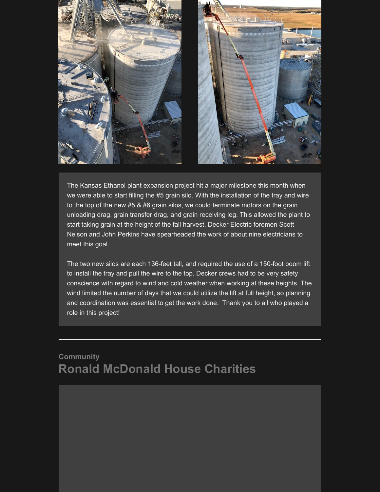

The Kansas Ethanol plant expansion project hit a major milestone this month when we were able to start filling the #5 grain silo. With the installation of the tray and wire to the top of the new #5 & #6 grain silos, we could terminate motors on the grain unloading drag, grain transfer drag, and grain receiving leg. This allowed the plant to start taking grain at the height of the fall harvest. Decker Electric foremen Scott Nelson and John Perkins have spearheaded the work of about nine electricians to meet this goal.

The two new silos are each 136-feet tall, and required the use of a 150-foot boom lift to install the tray and pull the wire to the top. Decker crews had to be very safety conscience with regard to wind and cold weather when working at these heights. The wind limited the number of days that we could utilize the lift at full height, so planning and coordination was essential to get the work done. Thank you to all who played a role in this project!

## **Community Ronald McDonald House Charities**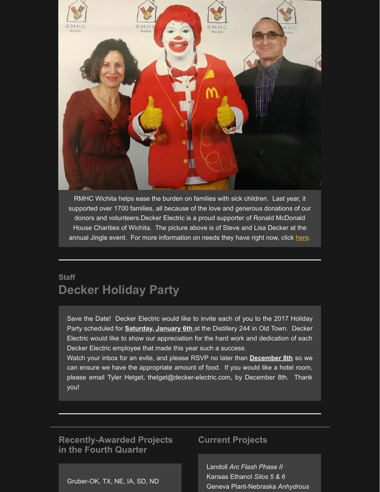

RMHC Wichita helps ease the burden on families with sick children. Last year, it supported over 1700 families, all because of the love and generous donations of our donors and volunteers.Decker Electric is a proud supporter of Ronald McDonald House Charities of Wichita. The picture above is of Steve and Lisa Decker at the annual Jingle event. For more information on needs they have right now, click [here.](http://rmhcwichita.org/get-involved/wish-list/)

## **Staff Decker Holiday Party**

Save the Date! Decker Electric would like to invite each of you to the 2017 Holiday Party scheduled for **Saturday, January 6th** at the Distillery 244 in Old Town. Decker Electric would like to show our appreciation for the hard work and dedication of each Decker Electric employee that made this year such a success.

Watch your inbox for an evite, and please RSVP no later than **December 8th** so we can ensure we have the appropriate amount of food. If you would like a hotel room, please email Tyler Helget, thelget@decker-electric.com, by December 8th. Thank you!

### **Recently-Awarded Projects in the Fourth Quarter**

#### Gruber-OK, TX, NE, IA, SD, ND

#### **Current Projects**

Landoll *Arc Flash Phase II* Kansas Ethanol *Silos 5 & 6* Geneva Plant-Nebraska *Anhydrous*